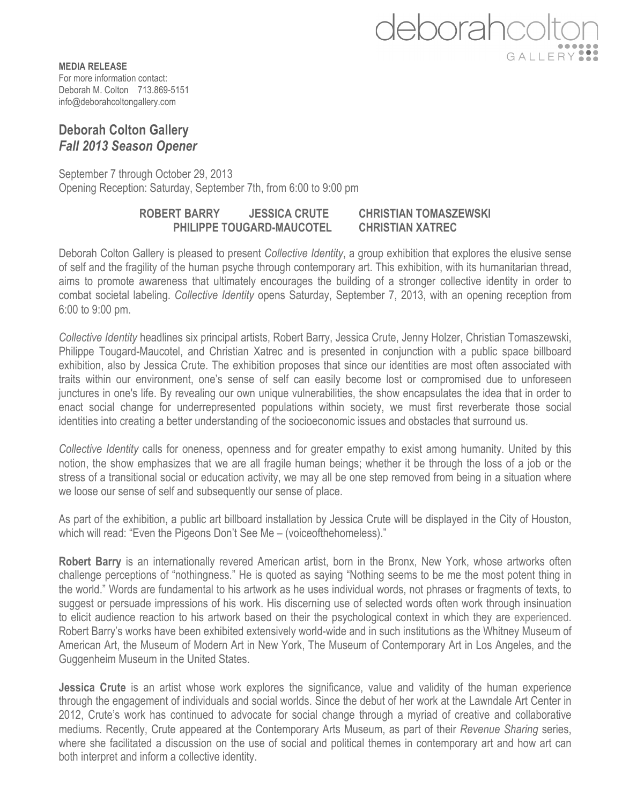

**MEDIA RELEASE** For more information contact: Deborah M. Colton 713.869-5151 info@deborahcoltongallery.com

## **Deborah Colton Gallery** *Fall 2013 Season Opener*

September 7 through October 29, 2013 Opening Reception: Saturday, September 7th, from 6:00 to 9:00 pm

## **ROBERT BARRY JESSICA CRUTE CHRISTIAN TOMASZEWSKI PHILIPPE TOUGARD-MAUCOTEL CHRISTIAN XATREC**

Deborah Colton Gallery is pleased to present *Collective Identity*, a group exhibition that explores the elusive sense of self and the fragility of the human psyche through contemporary art. This exhibition, with its humanitarian thread, aims to promote awareness that ultimately encourages the building of a stronger collective identity in order to combat societal labeling. *Collective Identity* opens Saturday, September 7, 2013, with an opening reception from 6:00 to 9:00 pm.

*Collective Identity* headlines six principal artists, Robert Barry, Jessica Crute, Jenny Holzer, Christian Tomaszewski, Philippe Tougard-Maucotel, and Christian Xatrec and is presented in conjunction with a public space billboard exhibition, also by Jessica Crute. The exhibition proposes that since our identities are most often associated with traits within our environment, one's sense of self can easily become lost or compromised due to unforeseen junctures in one's life. By revealing our own unique vulnerabilities, the show encapsulates the idea that in order to enact social change for underrepresented populations within society, we must first reverberate those social identities into creating a better understanding of the socioeconomic issues and obstacles that surround us.

*Collective Identity* calls for oneness, openness and for greater empathy to exist among humanity. United by this notion, the show emphasizes that we are all fragile human beings; whether it be through the loss of a job or the stress of a transitional social or education activity, we may all be one step removed from being in a situation where we loose our sense of self and subsequently our sense of place.

As part of the exhibition, a public art billboard installation by Jessica Crute will be displayed in the City of Houston, which will read: "Even the Pigeons Don't See Me – (voiceofthehomeless)."

**Robert Barry** is an internationally revered American artist, born in the Bronx, New York, whose artworks often challenge perceptions of "nothingness." He is quoted as saying "Nothing seems to be me the most potent thing in the world." Words are fundamental to his artwork as he uses individual words, not phrases or fragments of texts, to suggest or persuade impressions of his work. His discerning use of selected words often work through insinuation to elicit audience reaction to his artwork based on their the psychological context in which they are experienced. Robert Barry's works have been exhibited extensively world-wide and in such institutions as the Whitney Museum of American Art, the Museum of Modern Art in New York, The Museum of Contemporary Art in Los Angeles, and the Guggenheim Museum in the United States.

**Jessica Crute** is an artist whose work explores the significance, value and validity of the human experience through the engagement of individuals and social worlds. Since the debut of her work at the Lawndale Art Center in 2012, Crute's work has continued to advocate for social change through a myriad of creative and collaborative mediums. Recently, Crute appeared at the Contemporary Arts Museum, as part of their *Revenue Sharing* series, where she facilitated a discussion on the use of social and political themes in contemporary art and how art can both interpret and inform a collective identity.